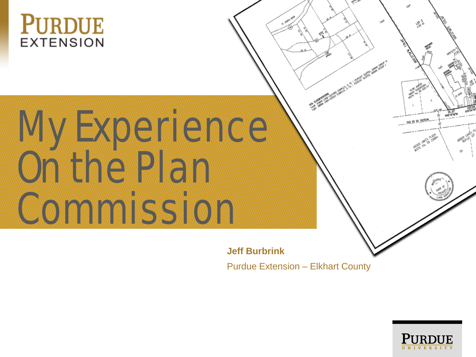

# MAY EXPERIENCE AND A ON THE PLANT COMPANY **Commission Commission Commission**

**Jeff Burbrink** Purdue Extension – Elkhart County

**CONTRACTOR OF THE PARTY NAMED IN COLUMN 2** 



, 95 PL 1909/C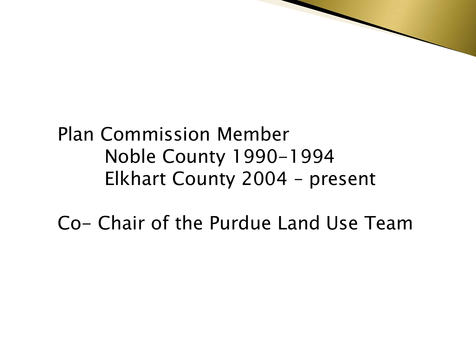#### Plan Commission Member Noble County 1990-1994 Elkhart County 2004 – present

Co- Chair of the Purdue Land Use Team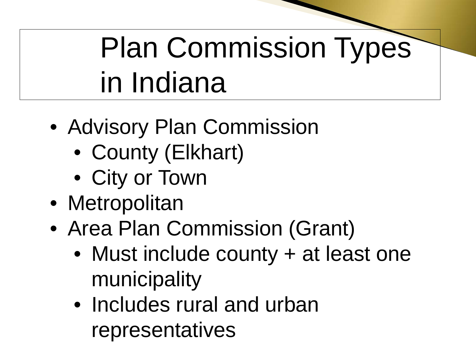## Plan Commission Types in Indiana

- Advisory Plan Commission
	- County (Elkhart)
	- City or Town
- Metropolitan
- Area Plan Commission (Grant)
	- Must include county + at least one municipality
	- Includes rural and urban representatives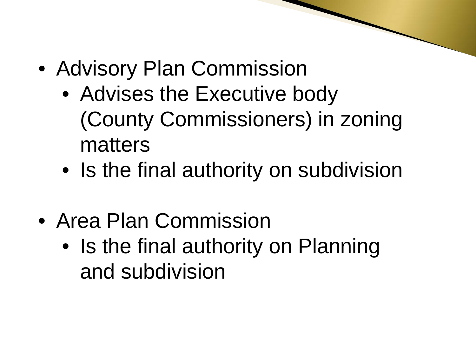- Advisory Plan Commission
	- Advises the Executive body (County Commissioners) in zoning matters
	- Is the final authority on subdivision
- Area Plan Commission
	- Is the final authority on Planning and subdivision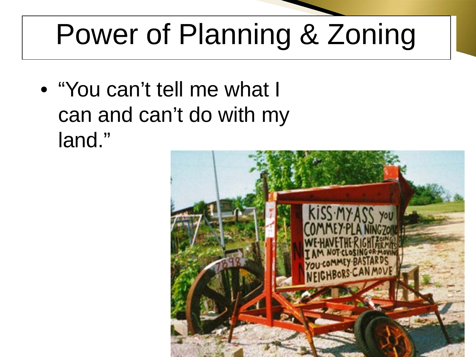### Power of Planning & Zoning

• "You can't tell me what I can and can't do with my land."

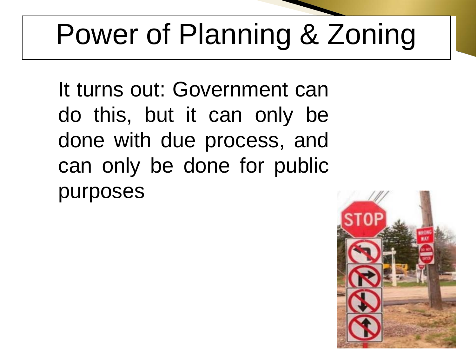## Power of Planning & Zoning

It turns out: Government can do this, but it can only be done with due process, and can only be done for public purposes

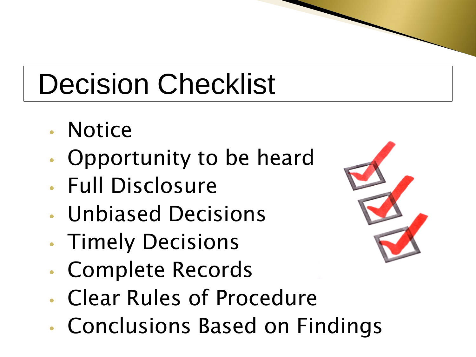#### Decision Checklist

- Notice
- Opportunity to be heard
- Full Disclosure
- Unbiased Decisions
- Timely Decisions
- Complete Records
- Clear Rules of Procedure
- Conclusions Based on Findings

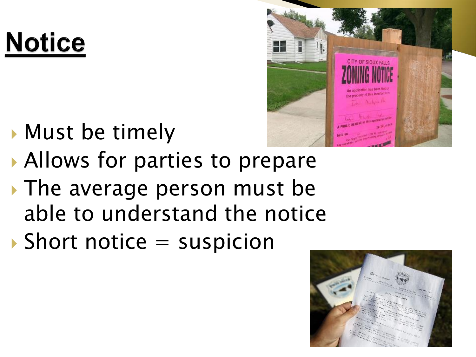### **Notice**

- 
- **Must be timely** Allows for parties to prepare
- The average person must be able to understand the notice
- $\blacktriangleright$  Short notice  $=$  suspicion

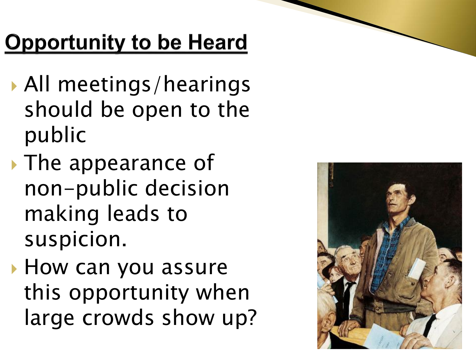#### **Opportunity to be Heard**

- All meetings/hearings should be open to the public
- The appearance of non-public decision making leads to suspicion.
- **How can you assure** this opportunity when large crowds show up?

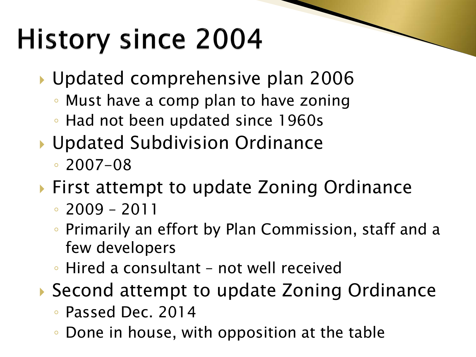#### **History since 2004**

- Updated comprehensive plan 2006
	- Must have a comp plan to have zoning
	- Had not been updated since 1960s
- ▶ Updated Subdivision Ordinance
	- 2007-08
- ▶ First attempt to update Zoning Ordinance
	- 2009 2011
	- Primarily an effort by Plan Commission, staff and a few developers
	- Hired a consultant not well received
- ▶ Second attempt to update Zoning Ordinance
	- Passed Dec. 2014
	- Done in house, with opposition at the table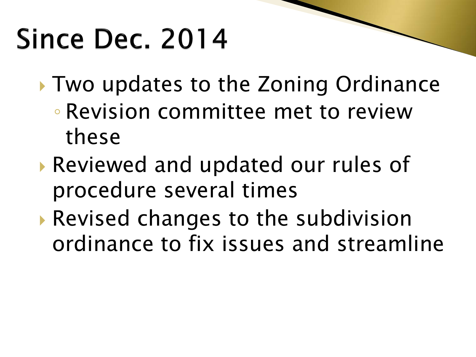#### Since Dec. 2014

- Two updates to the Zoning Ordinance ◦ Revision committee met to review these
- Reviewed and updated our rules of procedure several times
- Revised changes to the subdivision ordinance to fix issues and streamline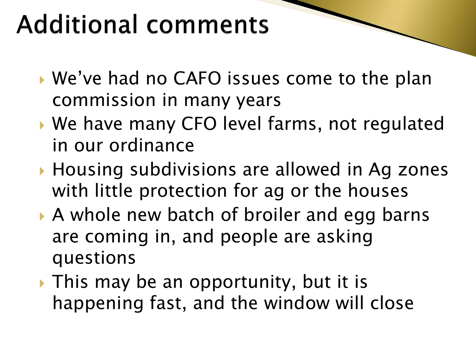#### **Additional comments**

- We've had no CAFO issues come to the plan commission in many years
- We have many CFO level farms, not regulated in our ordinance
- ▶ Housing subdivisions are allowed in Ag zones with little protection for ag or the houses
- A whole new batch of broiler and egg barns are coming in, and people are asking questions
- If This may be an opportunity, but it is happening fast, and the window will close